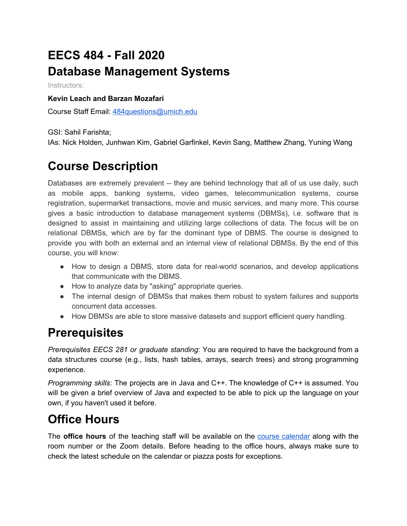# **EECS 484 - Fall 2020 Database Management Systems**

Instructors:

#### **Kevin Leach and Barzan Mozafari**

Course Staff Email: [484questions@umich.edu](mailto:484questions@umich.edu)

GSI: Sahil Farishta;

IAs: Nick Holden, Junhwan Kim, Gabriel Garfinkel, Kevin Sang, Matthew Zhang, Yuning Wang

## **Course Description**

Databases are extremely prevalent -- they are behind technology that all of us use daily, such as mobile apps, banking systems, video games, telecommunication systems, course registration, supermarket transactions, movie and music services, and many more. This course gives a basic introduction to database management systems (DBMSs), i.e. software that is designed to assist in maintaining and utilizing large collections of data. The focus will be on relational DBMSs, which are by far the dominant type of DBMS. The course is designed to provide you with both an external and an internal view of relational DBMSs. By the end of this course, you will know:

- How to design a DBMS, store data for real-world scenarios, and develop applications that communicate with the DBMS.
- How to analyze data by "asking" appropriate queries.
- The internal design of DBMSs that makes them robust to system failures and supports concurrent data accesses.
- How DBMSs are able to store massive datasets and support efficient query handling.

### **Prerequisites**

*Prerequisites EECS 281 or graduate standing*: You are required to have the background from a data structures course (e.g., lists, hash tables, arrays, search trees) and strong programming experience.

*Programming skills*: The projects are in Java and C++. The knowledge of C++ is assumed. You will be given a brief overview of Java and expected to be able to pick up the language on your own, if you haven't used it before.

## **Office Hours**

The **office hours** of the teaching staff will be available on the course [calendar](https://calendar.google.com/calendar/embed?src=c_r97ruhiusdjop6kep510l87a18%40group.calendar.google.com&ctz=America%2FDetroit) along with the room number or the Zoom details. Before heading to the office hours, always make sure to check the latest schedule on the calendar or piazza posts for exceptions.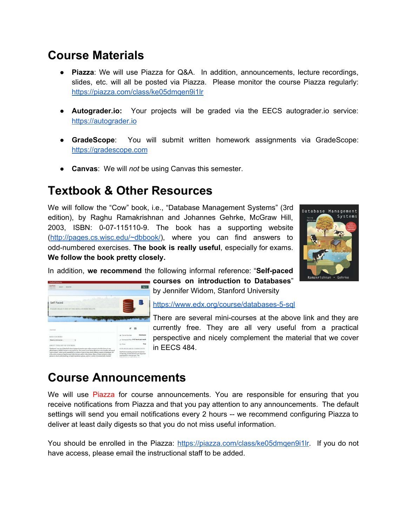#### **Course Materials**

- **Piazza**: We will use Piazza for Q&A. In addition, announcements, lecture recordings, slides, etc. will all be posted via Piazza. Please monitor the course Piazza regularly: <https://piazza.com/class/ke05dmqen9i1lr>
- **● Autograder.io:** Your projects will be graded via the EECS autograder.io service: [https://autograder.io](https://autograder.io/)
- **● GradeScope**: You will submit written homework assignments via GradeScope: [https://gradescope.com](https://gradescope.com/)
- **● Canvas**: We will *not* be using Canvas this semester.

#### **Textbook & Other Resources**

We will follow the "Cow" book, i.e., "Database Management Systems" (3rd edition), by Raghu Ramakrishnan and Johannes Gehrke, McGraw Hill, 2003, ISBN: 0-07-115110-9. The book has a supporting website ([http://pages.cs.wisc.edu/~dbbook/\)](http://pages.cs.wisc.edu/~dbbook/), where you can find answers to odd-numbered exercises. **The book is really useful**, especially for exams. **We follow the book pretty closely.**



In addition, **we recommend** the following informal reference: "**Self-paced**



**courses on introduction to Databases**" by Jennifer Widom, Stanford University

<https://www.edx.org/course/databases-5-sql>

There are several mini-courses at the above link and they are currently free. They are all very useful from a practical perspective and nicely complement the material that we cover in EECS 484.

#### **Course Announcements**

We will use Piazza for course announcements. You are responsible for ensuring that you receive notifications from Piazza and that you pay attention to any announcements. The default settings will send you email notifications every 2 hours -- we recommend configuring Piazza to deliver at least daily digests so that you do not miss useful information.

You should be enrolled in the Piazza: [https://piazza.com/class/ke05dmqen9i1lr.](https://piazza.com/class/ke05dmqen9i1lr) If you do not have access, please email the instructional staff to be added.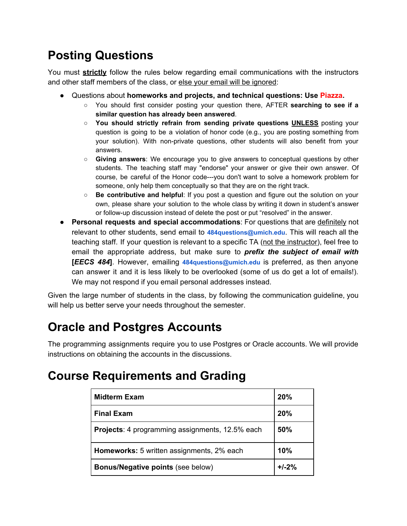# **Posting Questions**

You must **strictly** follow the rules below regarding email communications with the instructors and other staff members of the class, or else your email will be ignored:

- **●** Questions about **homeworks and projects, and technical questions: Use Piazza.**
	- You should first consider posting your question there, AFTER **searching to see if a similar question has already been answered**.
	- **You should strictly refrain from sending private questions UNLESS** posting your question is going to be a violation of honor code (e.g., you are posting something from your solution). With non-private questions, other students will also benefit from your answers.
	- **Giving answers**: We encourage you to give answers to conceptual questions by other students. The teaching staff may "endorse" your answer or give their own answer. Of course, be careful of the Honor code---you don't want to solve a homework problem for someone, only help them conceptually so that they are on the right track.
	- **○ Be contributive and helpful**: If you post a question and figure out the solution on your own, please share your solution to the whole class by writing it down in student's answer or follow-up discussion instead of delete the post or put "resolved" in the answer.
- **Personal requests and special accommodations**: For questions that are definitely not relevant to other students, send email to **484questions@umich.edu**. This will reach all the teaching staff. If your question is relevant to a specific TA (not the instructor), feel free to email the appropriate address, but make sure to *prefix the subject of email with* **[***EECS 484***]**. However, emailing **484questions@umich.edu** is preferred, as then anyone can answer it and it is less likely to be overlooked (some of us do get a lot of emails!). We may not respond if you email personal addresses instead.

Given the large number of students in the class, by following the communication guideline, you will help us better serve your needs throughout the semester.

# **Oracle and Postgres Accounts**

The programming assignments require you to use Postgres or Oracle accounts. We will provide instructions on obtaining the accounts in the discussions.

### **Course Requirements and Grading**

| Midterm Exam                                           | 20%       |
|--------------------------------------------------------|-----------|
| <b>Final Exam</b>                                      | 20%       |
| <b>Projects:</b> 4 programming assignments, 12.5% each | 50%       |
| Homeworks: 5 written assignments, 2% each              | 10%       |
| <b>Bonus/Negative points (see below)</b>               | $+1 - 2%$ |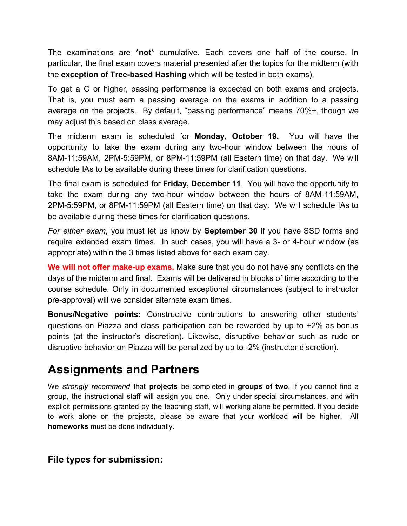The examinations are \***not**\* cumulative. Each covers one half of the course. In particular, the final exam covers material presented after the topics for the midterm (with the **exception of Tree-based Hashing** which will be tested in both exams).

To get a C or higher, passing performance is expected on both exams and projects. That is, you must earn a passing average on the exams in addition to a passing average on the projects. By default, "passing performance" means 70%+, though we may adjust this based on class average.

The midterm exam is scheduled for **Monday, October 19.** You will have the opportunity to take the exam during any two-hour window between the hours of 8AM-11:59AM, 2PM-5:59PM, or 8PM-11:59PM (all Eastern time) on that day. We will schedule IAs to be available during these times for clarification questions.

The final exam is scheduled for **Friday, December 11**. You will have the opportunity to take the exam during any two-hour window between the hours of 8AM-11:59AM, 2PM-5:59PM, or 8PM-11:59PM (all Eastern time) on that day. We will schedule IAs to be available during these times for clarification questions.

*For either exam*, you must let us know by **September 30** if you have SSD forms and require extended exam times. In such cases, you will have a 3- or 4-hour window (as appropriate) within the 3 times listed above for each exam day.

**We will not offer make-up exams.** Make sure that you do not have any conflicts on the days of the midterm and final. Exams will be delivered in blocks of time according to the course schedule. Only in documented exceptional circumstances (subject to instructor pre-approval) will we consider alternate exam times.

**Bonus/Negative points:** Constructive contributions to answering other students' questions on Piazza and class participation can be rewarded by up to +2% as bonus points (at the instructor's discretion). Likewise, disruptive behavior such as rude or disruptive behavior on Piazza will be penalized by up to -2% (instructor discretion).

### **Assignments and Partners**

We *strongly recommend* that **projects** be completed in **groups of two**. If you cannot find a group, the instructional staff will assign you one. Only under special circumstances, and with explicit permissions granted by the teaching staff, will working alone be permitted. If you decide to work alone on the projects, please be aware that your workload will be higher. All **homeworks** must be done individually.

#### **File types for submission:**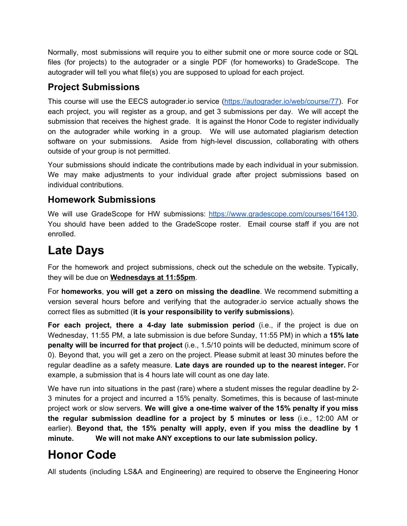Normally, most submissions will require you to either submit one or more source code or SQL files (for projects) to the autograder or a single PDF (for homeworks) to GradeScope. The autograder will tell you what file(s) you are supposed to upload for each project.

#### **Project Submissions**

This course will use the EECS autograder.io service ([https://autograder.io/web/course/77\)](https://autograder.io/web/course/77). For each project, you will register as a group, and get 3 submissions per day. We will accept the submission that receives the highest grade. It is against the Honor Code to register individually on the autograder while working in a group. We will use automated plagiarism detection software on your submissions. Aside from high-level discussion, collaborating with others outside of your group is not permitted.

Your submissions should indicate the contributions made by each individual in your submission. We may make adjustments to your individual grade after project submissions based on individual contributions.

#### **Homework Submissions**

We will use GradeScope for HW submissions: <https://www.gradescope.com/courses/164130>. You should have been added to the GradeScope roster. Email course staff if you are not enrolled.

# **Late Days**

For the homework and project submissions, check out the schedule on the website. Typically, they will be due on **Wednesdays at 11:55pm**.

For **homeworks**, **you will get a zero on missing the deadline**. We recommend submitting a version several hours before and verifying that the autograder.io service actually shows the correct files as submitted (**it is your responsibility to verify submissions**).

**For each project, there a 4-day late submission period** (i.e., if the project is due on Wednesday, 11:55 PM, a late submission is due before Sunday, 11:55 PM) in which a **15% late penalty will be incurred for that project** (i.e., 1.5/10 points will be deducted, minimum score of 0). Beyond that, you will get a zero on the project. Please submit at least 30 minutes before the regular deadline as a safety measure. **Late days are rounded up to the nearest integer.** For example, a submission that is 4 hours late will count as one day late.

We have run into situations in the past (rare) where a student misses the regular deadline by 2- 3 minutes for a project and incurred a 15% penalty. Sometimes, this is because of last-minute project work or slow servers. **We will give a one-time waiver of the 15% penalty if you miss the regular submission deadline for a project by 5 minutes or less** (i.e., 12:00 AM or earlier). **Beyond that, the 15% penalty will apply, even if you miss the deadline by 1 minute. We will not make ANY exceptions to our late submission policy.**

# **Honor Code**

All students (including LS&A and Engineering) are required to observe the Engineering Honor